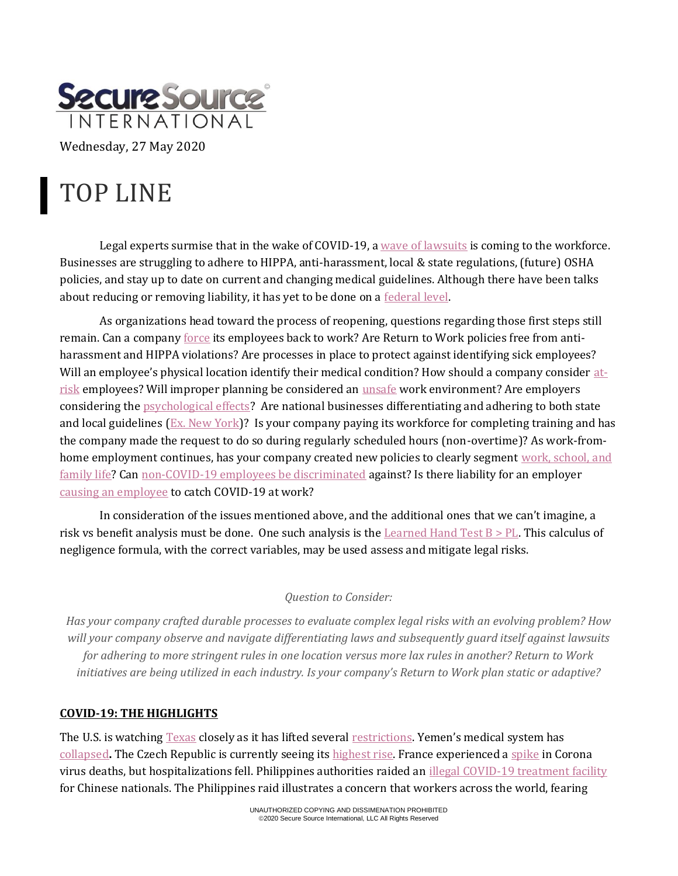

Wednesday, 27 May 2020

# TOP LINE

Legal experts surmise that in the wake of COVID-19, a [wave of lawsuits](https://www.cnbc.com/2020/05/20/as-us-reopens-prepare-for-flood-of-coronavirus-workplace-lawsuits.html) is coming to the workforce. Businesses are struggling to adhere to HIPPA, anti-harassment, local & state regulations, (future) OSHA policies, and stay up to date on current and changing medical guidelines. Although there have been talks about reducing or removing liability, it has yet to be done on a [federal level.](https://thehill.com/business-a-lobbying/498877-unions-worry-congress-is-one-step-closer-to-a-liability-shield)

As organizations head toward the process of reopening, questions regarding those first steps still remain. Can a compan[y force](https://fortune.com/2020/04/27/coronavirus-going-back-to-work-reopen-the-economy-office-workers-rights-covid-19/) its employees back to work? Are Return to Work policies free from antiharassment and HIPPA violations? Are processes in place to protect against identifying sick employees? Will an employee's physical location identify their medical condition? How should a company consider [at](https://www.latimes.com/business/story/2020-05-22/coronavirus-reopening-preexisting-conditions-seniors-older-workers)[risk](https://www.latimes.com/business/story/2020-05-22/coronavirus-reopening-preexisting-conditions-seniors-older-workers) employees? Will improper planning be considered an [unsafe](https://kychamberbottomline.com/2020/05/06/experts-discuss-legal-challenges-businesses-could-face-in-returning-to-work/) work environment? Are employers considering the [psychological effects?](https://www.jdsupra.com/legalnews/returning-to-work-in-a-pandemic-what-28848/) Are national businesses differentiating and adhering to both state and local guidelines [\(Ex. New York\)](https://www.jdsupra.com/legalnews/a-return-to-work-roadmap-for-new-york-96758/)? Is your company paying its workforce for completing training and has the company made the request to do so during regularly scheduled hours (non-overtime)? As work-fromhome employment continues, has your company created new policies to clearly segmen[t work, school, and](https://news.stanford.edu/2020/04/30/equity-inclusion-key-issues-new-work-life-balance/)  [family life?](https://news.stanford.edu/2020/04/30/equity-inclusion-key-issues-new-work-life-balance/) Can [non-COVID-19 employees be discriminated](https://www.law.com/newyorklawjournal/2020/05/04/discrimination-against-employees-without-covid-19-antibodies/?slreturn=20200424162314) against? Is there liability for an employer [causing an employee](https://www.insurancejournal.com/news/national/2020/04/27/566367.htm) to catch COVID-19 at work?

In consideration of the issues mentioned above, and the additional ones that we can't imagine, a risk vs benefit analysis must be done. One such analysis is the Learned Hand Test  $B > PL$ . This calculus of negligence formula, with the correct variables, may be used assess and mitigate legal risks.

## *Question to Consider:*

*Has your company crafted durable processes to evaluate complex legal risks with an evolving problem? How will your company observe and navigate differentiating laws and subsequently guard itself against lawsuits for adhering to more stringent rules in one location versus more lax rules in another? Return to Work initiatives are being utilized in each industry. Is your company's Return to Work plan static or adaptive?*

## **COVID-19: THE HIGHLIGHTS**

The U.S. is watchin[g Texas](https://abc13.com/covid-19-in-houston-will-coronavirus-come-back-cases-increasing/6204888/) closely as it has lifted several [restrictions.](https://www.cnn.com/2020/05/18/us/texas-governor-reopens-phase-two-covid-19/index.html) Yemen's medical system has [collapsed](https://www.aljazeera.com/news/2020/05/yemen-health-system-collapsed-coronavirus-spreads-200522193458488.html)**.** The Czech Republic is currently seeing its [highest rise.](https://www.reuters.com/article/us-health-coronavirus-czech/czech-coronavirus-cases-show-biggest-jump-in-four-weeks-idUSKBN22V0Q4) France experienced a [spike](https://www.france24.com/en/20200514-france-sees-spike-in-covid-19-deaths-but-hospital-numbers-continue-to-fall) in Corona virus deaths, but hospitalizations fell. Philippines authorities raided an [illegal COVID-19 treatment facility](https://abcnews.go.com/Health/wireStory/philippine-police-raid-illicit-hospital-virus-patients-70781356) for Chinese nationals. The Philippines raid illustrates a concern that workers across the world, fearing